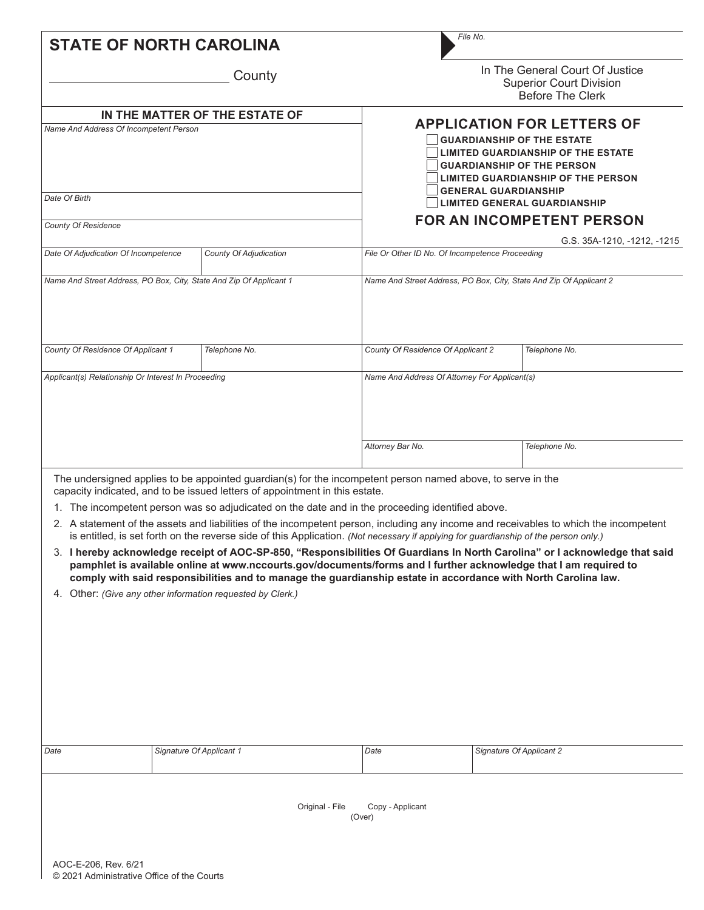| <b>STATE OF NORTH CAROLINA</b>                                           |  |                                                                                                                                                                                                                                                                                                                                                                                                                                                                                                                                                                                                                            |                                                                    | File No.                                                                                                                                                                                              |                                                                                                                                                                                                                                                                      |  |  |  |  |
|--------------------------------------------------------------------------|--|----------------------------------------------------------------------------------------------------------------------------------------------------------------------------------------------------------------------------------------------------------------------------------------------------------------------------------------------------------------------------------------------------------------------------------------------------------------------------------------------------------------------------------------------------------------------------------------------------------------------------|--------------------------------------------------------------------|-------------------------------------------------------------------------------------------------------------------------------------------------------------------------------------------------------|----------------------------------------------------------------------------------------------------------------------------------------------------------------------------------------------------------------------------------------------------------------------|--|--|--|--|
|                                                                          |  | County                                                                                                                                                                                                                                                                                                                                                                                                                                                                                                                                                                                                                     |                                                                    | In The General Court Of Justice<br><b>Superior Court Division</b><br><b>Before The Clerk</b>                                                                                                          |                                                                                                                                                                                                                                                                      |  |  |  |  |
| IN THE MATTER OF THE ESTATE OF<br>Name And Address Of Incompetent Person |  |                                                                                                                                                                                                                                                                                                                                                                                                                                                                                                                                                                                                                            |                                                                    | <b>APPLICATION FOR LETTERS OF</b><br><b>GUARDIANSHIP OF THE ESTATE</b><br><b>LIMITED GUARDIANSHIP OF THE ESTATE</b><br><b>GUARDIANSHIP OF THE PERSON</b><br><b>LIMITED GUARDIANSHIP OF THE PERSON</b> |                                                                                                                                                                                                                                                                      |  |  |  |  |
| Date Of Birth                                                            |  |                                                                                                                                                                                                                                                                                                                                                                                                                                                                                                                                                                                                                            | <b>GENERAL GUARDIANSHIP</b><br><b>LIMITED GENERAL GUARDIANSHIP</b> |                                                                                                                                                                                                       |                                                                                                                                                                                                                                                                      |  |  |  |  |
| <b>County Of Residence</b>                                               |  |                                                                                                                                                                                                                                                                                                                                                                                                                                                                                                                                                                                                                            | <b>FOR AN INCOMPETENT PERSON</b><br>G.S. 35A-1210, -1212, -1215    |                                                                                                                                                                                                       |                                                                                                                                                                                                                                                                      |  |  |  |  |
| Date Of Adjudication Of Incompetence                                     |  | County Of Adjudication                                                                                                                                                                                                                                                                                                                                                                                                                                                                                                                                                                                                     | File Or Other ID No. Of Incompetence Proceeding                    |                                                                                                                                                                                                       |                                                                                                                                                                                                                                                                      |  |  |  |  |
| Name And Street Address, PO Box, City, State And Zip Of Applicant 1      |  |                                                                                                                                                                                                                                                                                                                                                                                                                                                                                                                                                                                                                            |                                                                    |                                                                                                                                                                                                       | Name And Street Address, PO Box, City, State And Zip Of Applicant 2                                                                                                                                                                                                  |  |  |  |  |
| County Of Residence Of Applicant 1                                       |  | Telephone No.                                                                                                                                                                                                                                                                                                                                                                                                                                                                                                                                                                                                              | County Of Residence Of Applicant 2                                 |                                                                                                                                                                                                       | Telephone No.                                                                                                                                                                                                                                                        |  |  |  |  |
| Applicant(s) Relationship Or Interest In Proceeding                      |  |                                                                                                                                                                                                                                                                                                                                                                                                                                                                                                                                                                                                                            | Name And Address Of Attorney For Applicant(s)<br>Attorney Bar No.  |                                                                                                                                                                                                       | Telephone No.                                                                                                                                                                                                                                                        |  |  |  |  |
|                                                                          |  | The undersigned applies to be appointed guardian(s) for the incompetent person named above, to serve in the                                                                                                                                                                                                                                                                                                                                                                                                                                                                                                                |                                                                    |                                                                                                                                                                                                       |                                                                                                                                                                                                                                                                      |  |  |  |  |
|                                                                          |  | capacity indicated, and to be issued letters of appointment in this estate.<br>1. The incompetent person was so adjudicated on the date and in the proceeding identified above.<br>is entitled, is set forth on the reverse side of this Application. (Not necessary if applying for guardianship of the person only.)<br>pamphlet is available online at www.nccourts.gov/documents/forms and I further acknowledge that I am required to<br>comply with said responsibilities and to manage the guardianship estate in accordance with North Carolina law.<br>4. Other: (Give any other information requested by Clerk.) |                                                                    |                                                                                                                                                                                                       | 2. A statement of the assets and liabilities of the incompetent person, including any income and receivables to which the incompetent<br>3. I hereby acknowledge receipt of AOC-SP-850, "Responsibilities Of Guardians In North Carolina" or I acknowledge that said |  |  |  |  |
| Date                                                                     |  | Signature Of Applicant 1                                                                                                                                                                                                                                                                                                                                                                                                                                                                                                                                                                                                   | Date                                                               |                                                                                                                                                                                                       | Signature Of Applicant 2                                                                                                                                                                                                                                             |  |  |  |  |
| AOC-E-206, Rev. 6/21                                                     |  | Original - File                                                                                                                                                                                                                                                                                                                                                                                                                                                                                                                                                                                                            | Copy - Applicant<br>(Over)                                         |                                                                                                                                                                                                       |                                                                                                                                                                                                                                                                      |  |  |  |  |